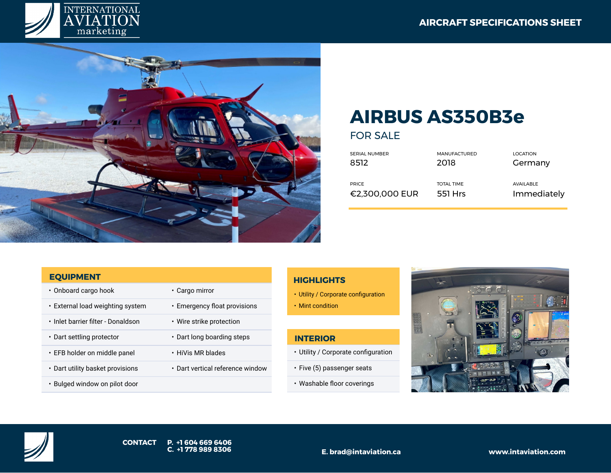



# **AIRBUS AS350B3e**

FOR SALE

| SERIAL NUMBER  | <b>MANUFACTURED</b> | <b>LOCATION</b> |
|----------------|---------------------|-----------------|
| 8512           | 2018                | Germany         |
| <b>PRICE</b>   | <b>TOTAL TIME</b>   | AVAILABLE       |
| €2,300,000 EUR | 551 Hrs             | Immediately     |

#### **EQUIPMENT**

• Onboard cargo hook • Cargo mirror • External load weighting system • Emergency float provisions • Inlet barrier filter - Donaldson • Wire strike protection • Dart settling protector • Dart long boarding steps • EFB holder on middle panel • HiVis MR blades • Dart utility basket provisions • Dart vertical reference window • Bulged window on pilot door

## **HIGHLIGHTS**

- Utility / Corporate configuration
- Mint condition

## **INTERIOR**

- Utility / Corporate configuration
- Five (5) passenger seats
- Washable floor coverings